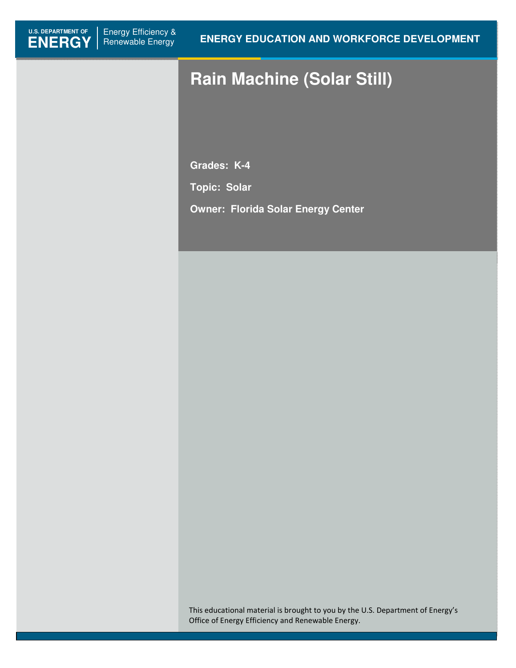# **Rain Machine (Solar Still)**

**Grades: K-4** 

**Topic: Solar** 

**Owner: Florida Solar Energy Center**

This educational material is brought to you by the U.S. Department of Energy's Office of Energy Efficiency and Renewable Energy.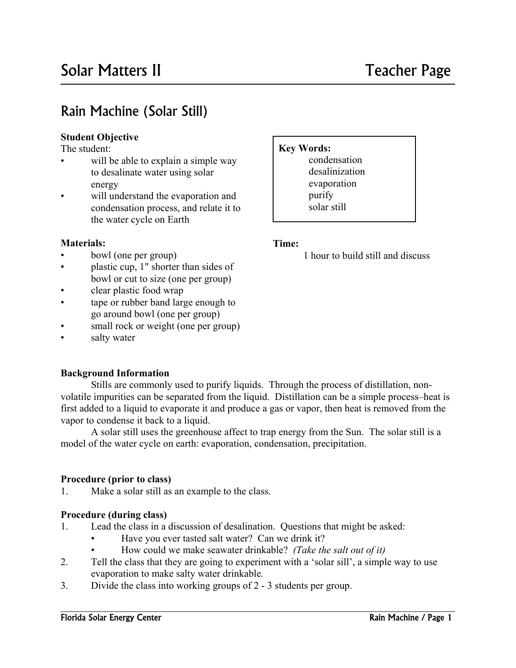# Rain Machine (Solar Still)

#### **Student Objective**

The student: **Key Words:** 

l

- to desalinate water using solar energy will be able to explain a simple way
- will understand the evaporation and condensation process, and relate it to the water cycle on Earth

#### **Materials:** Time:

- $\bullet$
- plastic cup, 1" shorter than sides of bowl or cut to size (one per group)
- clear plastic food wrap
- tape or rubber band large enough to go around bowl (one per group)
- small rock or weight (one per group)
- salty water

#### **Background Information**

Stills are commonly used to purify liquids. Through the process of distillation, nonvolatile impurities can be separated from the liquid. Distillation can be a simple process–heat is first added to a liquid to evaporate it and produce a gas or vapor, then heat is removed from the vapor to condense it back to a liquid.

A solar still uses the greenhouse affect to trap energy from the Sun. The solar still is a model of the water cycle on earth: evaporation, condensation, precipitation.

#### **Procedure (prior to class)**

 $1_{\cdot}$ Make a solar still as an example to the class.

#### **Procedure (during class)**

- $1_{-}$ Lead the class in a discussion of desalination. Questions that might be asked:
	- Have you ever tasted salt water? Can we drink it?
	- • How could we make seawater drinkable? *(Take the salt out of it)*
- $2<sup>1</sup>$ Tell the class that they are going to experiment with a 'solar sill', a simple way to use evaporation to make salty water drinkable*.*
- 3. Divide the class into working groups of 2 - 3 students per group.

# condensation

 desalinization purify solar still evaporation

bowl (one per group) 1 hour to build still and discuss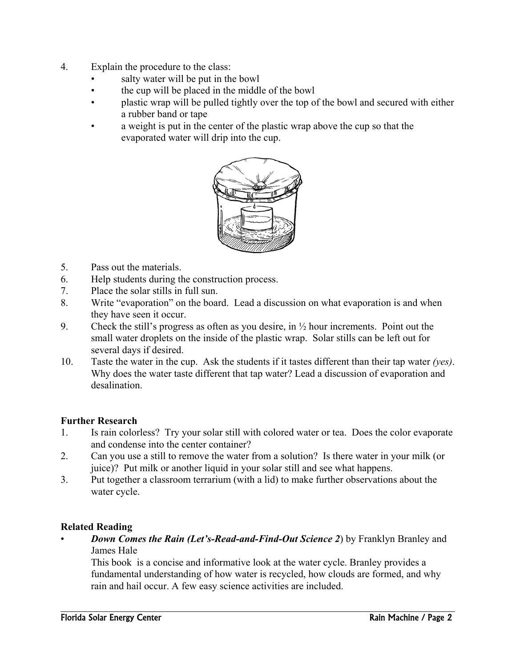- $\overline{4}$ Explain the procedure to the class:
	- salty water will be put in the bowl
	- the cup will be placed in the middle of the bowl
	- plastic wrap will be pulled tightly over the top of the bowl and secured with either a rubber band or tape
	- a weight is put in the center of the plastic wrap above the cup so that the evaporated water will drip into the cup.



- $5<sup>1</sup>$ Pass out the materials.
- 6. Help students during the construction process.
- 7. Place the solar stills in full sun.
- 8. Write "evaporation" on the board. Lead a discussion on what evaporation is and when they have seen it occur.
- 9. Check the still's progress as often as you desire, in  $\frac{1}{2}$  hour increments. Point out the small water droplets on the inside of the plastic wrap. Solar stills can be left out for several days if desired.
- 10. Taste the water in the cup. Ask the students if it tastes different than their tap water *(yes)*. Why does the water taste different that tap water? Lead a discussion of evaporation and desalination.

#### **Further Research**

- $\mathbf{1}$ Is rain colorless? Try your solar still with colored water or tea. Does the color evaporate and condense into the center container?
- $2.$ Can you use a still to remove the water from a solution? Is there water in your milk (or juice)? Put milk or another liquid in your solar still and see what happens.
- 3. Put together a classroom terrarium (with a lid) to make further observations about the water cycle.

#### **Related Reading**

*Down Comes the Rain (Let's-Read-and-Find-Out Science 2)* **by Franklyn Branley and** James Hale

This book is a concise and informative look at the water cycle. Branley provides a fundamental understanding of how water is recycled, how clouds are formed, and why rain and hail occur. A few easy science activities are included.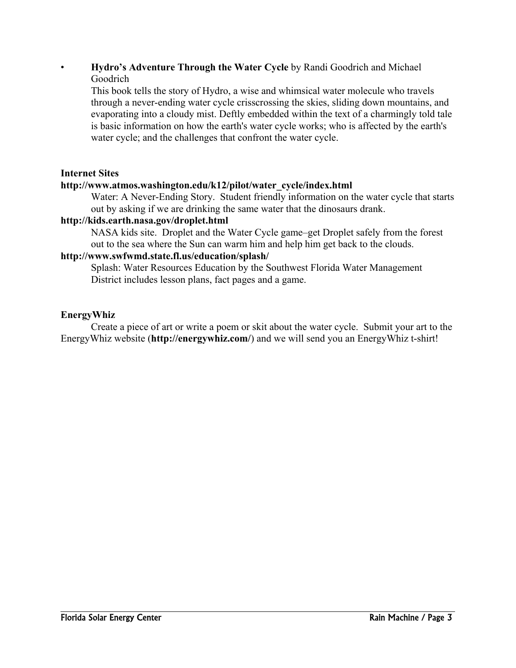#### **Hydro's Adventure Through the Water Cycle** by Randi Goodrich and Michael Goodrich

This book tells the story of Hydro, a wise and whimsical water molecule who travels through a never-ending water cycle crisscrossing the skies, sliding down mountains, and evaporating into a cloudy mist. Deftly embedded within the text of a charmingly told tale is basic information on how the earth's water cycle works; who is affected by the earth's water cycle; and the challenges that confront the water cycle.

#### **Internet Sites**

#### **http://www.atmos.washington.edu/k12/pilot/water\_cycle/index.html**

Water: A Never-Ending Story. Student friendly information on the water cycle that starts out by asking if we are drinking the same water that the dinosaurs drank.

#### **http://kids.earth.nasa.gov/droplet.html**

NASA kids site. Droplet and the Water Cycle game–get Droplet safely from the forest out to the sea where the Sun can warm him and help him get back to the clouds.

#### **http://www.swfwmd.state.fl.us/education/splash/**

Splash: Water Resources Education by the Southwest Florida Water Management District includes lesson plans, fact pages and a game.

#### **EnergyWhiz**

Create a piece of art or write a poem or skit about the water cycle. Submit your art to the EnergyWhiz website (**http://energywhiz.com/**) and we will send you an EnergyWhiz t-shirt!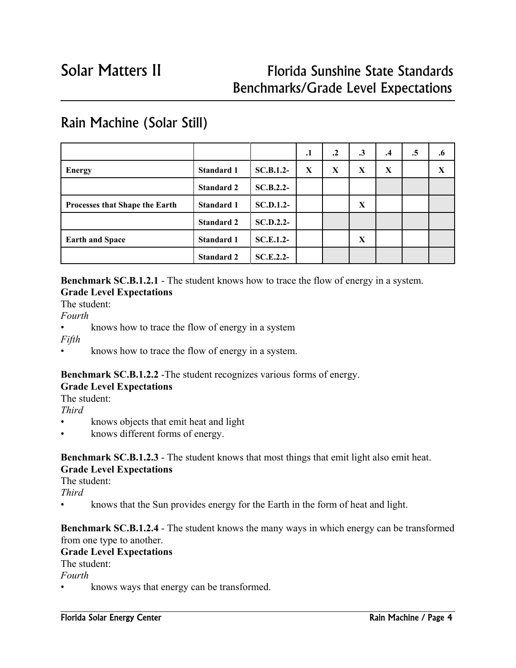# Solar Matters II Florida Sunshine State Standards Benchmarks/Grade Level Expectations

|                                       |                   |                  | .1 | $\cdot$ | $\cdot$ 3 | $\cdot$ 4 | .5 | $\cdot 6$ |
|---------------------------------------|-------------------|------------------|----|---------|-----------|-----------|----|-----------|
| <b>Energy</b>                         | <b>Standard 1</b> | $SC.B.1.2-$      | X  | X       | X         | X         |    | X         |
|                                       | <b>Standard 2</b> | $SC.B.2.2-$      |    |         |           |           |    |           |
| <b>Processes that Shape the Earth</b> | <b>Standard 1</b> | <b>SC.D.1.2-</b> |    |         | X         |           |    |           |
|                                       | <b>Standard 2</b> | $SC.D.2.2-$      |    |         |           |           |    |           |
| <b>Earth and Space</b>                | <b>Standard 1</b> | $SC.E.1.2-$      |    |         | X         |           |    |           |
|                                       | <b>Standard 2</b> | $SC.E.2.2-$      |    |         |           |           |    |           |

## Rain Machine (Solar Still)

**Benchmark SC.B.1.2.1** - The student knows how to trace the flow of energy in a system. **Grade Level Expectations** 

The student:

*Fourth* 

j

• knows how to trace the flow of energy in a system

*Fifth* 

• knows how to trace the flow of energy in a system.

#### **Benchmark SC.B.1.2.2** -The student recognizes various forms of energy.

#### **Grade Level Expectations**

The student:

*Third* 

- knows objects that emit heat and light
- knows different forms of energy.

## **Benchmark SC.B.1.2.3** - The student knows that most things that emit light also emit heat.

### **Grade Level Expectations**

The student:

*Third* 

• knows that the Sun provides energy for the Earth in the form of heat and light.

#### **Benchmark SC.B.1.2.4** - The student knows the many ways in which energy can be transformed from one type to another.

#### **Grade Level Expectations**

The student:

*Fourth* 

knows ways that energy can be transformed.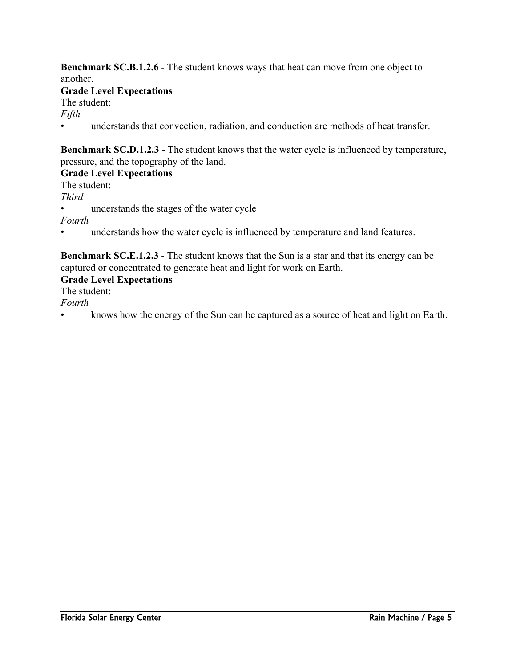**Benchmark SC.B.1.2.6** - The student knows ways that heat can move from one object to another. **Grade Level Expectations**  The student: *Fifth* 

• understands that convection, radiation, and conduction are methods of heat transfer.

**Benchmark SC.D.1.2.3** - The student knows that the water cycle is influenced by temperature, pressure, and the topography of the land.

#### **Grade Level Expectations**

The student: *Third*  understands the stages of the water cycle *Fourth* 

understands how the water cycle is influenced by temperature and land features.

**Benchmark SC.E.1.2.3** - The student knows that the Sun is a star and that its energy can be captured or concentrated to generate heat and light for work on Earth.

#### **Grade Level Expectations**

The student:

*Fourth* 

• knows how the energy of the Sun can be captured as a source of heat and light on Earth.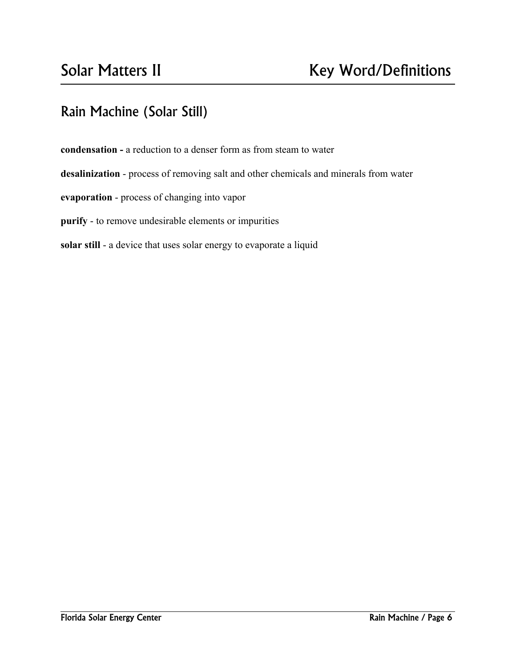l

# Rain Machine (Solar Still)

**condensation -** a reduction to a denser form as from steam to water

**desalinization** - process of removing salt and other chemicals and minerals from water

**evaporation** - process of changing into vapor

**purify** - to remove undesirable elements or impurities

**solar still** - a device that uses solar energy to evaporate a liquid